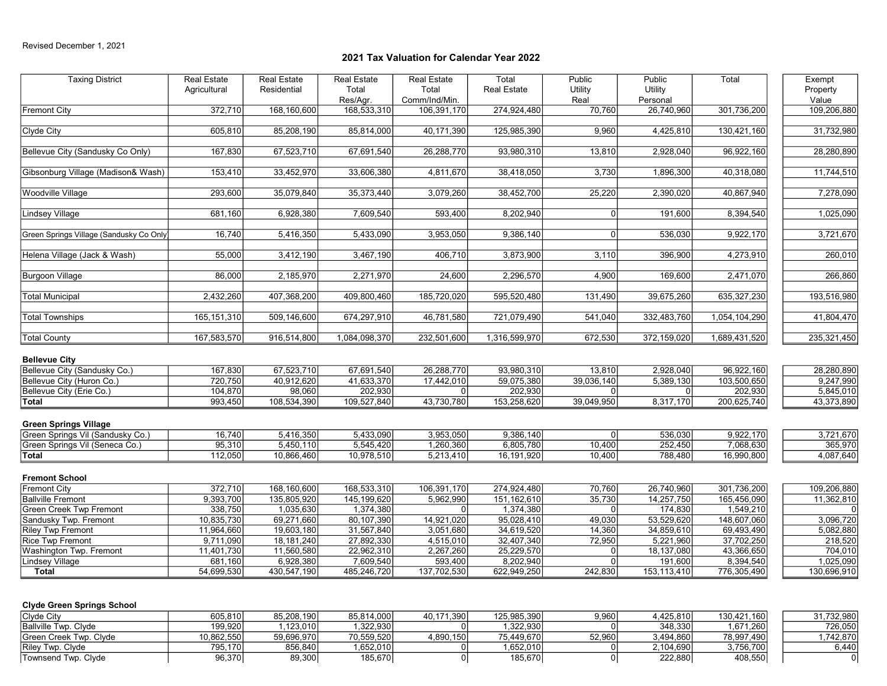| <b>Taxing District</b>                           | <b>Real Estate</b><br>Agricultural | Real Estate<br>Residential | <b>Real Estate</b><br>Total<br>Res/Agr. | <b>Real Estate</b><br>Total<br>Comm/Ind/Min. | Total<br><b>Real Estate</b> | Public<br>Utility<br>Real | Public<br>Utility<br>Personal | Total                      | Exempt<br>Property<br>Value |
|--------------------------------------------------|------------------------------------|----------------------------|-----------------------------------------|----------------------------------------------|-----------------------------|---------------------------|-------------------------------|----------------------------|-----------------------------|
| <b>Fremont City</b>                              | 372,710                            | 168,160,600                | 168,533,310                             | 106,391,170                                  | 274,924,480                 | 70,760                    | 26,740,960                    | 301,736,200                | 109,206,880                 |
| Clyde City                                       | 605,810                            | 85,208,190                 | 85,814,000                              | 40,171,390                                   | 125,985,390                 | 9,960                     | 4,425,810                     | 130,421,160                | 31,732,980                  |
| Bellevue City (Sandusky Co Only)                 | 167,830                            | 67,523,710                 | 67,691,540                              | 26,288,770                                   | 93,980,310                  | 13,810                    | 2,928,040                     | 96,922,160                 | 28,280,890                  |
| Gibsonburg Village (Madison& Wash)               | 153,410                            | 33,452,970                 | 33,606,380                              | 4,811,670                                    | 38,418,050                  | 3,730                     | 1,896,300                     | 40,318,080                 | 11,744,510                  |
| Woodville Village                                | 293,600                            | 35,079,840                 | 35,373,440                              | 3,079,260                                    | 38,452,700                  | 25,220                    | 2,390,020                     | 40,867,940                 | 7,278,090                   |
| Lindsey Village                                  | 681,160                            | 6,928,380                  | 7,609,540                               | 593,400                                      | 8,202,940                   | $\overline{0}$            | 191,600                       | 8,394,540                  | 1,025,090                   |
| Green Springs Village (Sandusky Co Only          | 16,740                             | 5,416,350                  | 5,433,090                               | 3,953,050                                    | 9,386,140                   | $\Omega$                  | 536,030                       | 9,922,170                  | 3,721,670                   |
| Helena Village (Jack & Wash)                     | 55,000                             | 3,412,190                  | 3,467,190                               | 406,710                                      | 3,873,900                   | 3,110                     | 396,900                       | 4,273,910                  | 260,010                     |
| <b>Burgoon Village</b>                           | 86,000                             | 2,185,970                  | 2,271,970                               | 24,600                                       | 2,296,570                   | 4,900                     | 169,600                       | 2,471,070                  | 266,860                     |
| <b>Total Municipal</b>                           | 2,432,260                          | 407,368,200                | 409,800,460                             | 185,720,020                                  | 595,520,480                 | 131,490                   | 39,675,260                    | 635, 327, 230              | 193,516,980                 |
| <b>Total Townships</b>                           | 165, 151, 310                      | 509,146,600                | 674,297,910                             | 46,781,580                                   | 721,079,490                 | 541,040                   | 332,483,760                   | 1,054,104,290              | 41,804,470                  |
| <b>Total County</b>                              | 167,583,570                        | 916,514,800                | 1,084,098,370                           | 232,501,600                                  | 1,316,599,970               | 672,530                   | 372,159,020                   | 1,689,431,520              | 235,321,450                 |
| <b>Bellevue City</b>                             |                                    |                            |                                         |                                              |                             |                           |                               |                            |                             |
| Bellevue City (Sandusky Co.)                     | 167,830                            | 67,523,710                 | 67,691,540                              | 26,288,770                                   | 93,980,310                  | 13,810                    | 2,928,040                     | 96,922,160                 | 28,280,890                  |
| Bellevue City (Huron Co.)                        | 720,750                            | 40,912,620                 | 41,633,370                              | 17,442,010                                   | 59,075,380                  | 39,036,140                | 5,389,130                     | 103,500,650                | 9,247,990                   |
| Bellevue City (Erie Co.)<br>Total                | 104,870<br>993,450                 | 98,060<br>108,534,390      | 202,930<br>109,527,840                  | $\Omega$<br>43,730,780                       | 202,930<br>153,258,620      | 0<br>39,049,950           | 0<br>8,317,170                | 202,930<br>200,625,740     | 5,845,010<br>43,373,890     |
|                                                  |                                    |                            |                                         |                                              |                             |                           |                               |                            |                             |
| <b>Green Springs Village</b>                     |                                    |                            |                                         |                                              |                             |                           |                               |                            |                             |
| Green Springs Vil (Sandusky Co.)                 | 16,740                             | 5,416,350                  | 5,433,090                               | 3,953,050                                    | 9,386,140                   | $\overline{0}$            | 536,030                       | 9,922,170                  | 3,721,670                   |
| Green Springs Vil (Seneca Co.)<br>Total          | 95,310<br>112,050                  | 5,450,110<br>10,866,460    | 5,545,420<br>10,978,510                 | 1,260,360<br>5,213,410                       | 6,805,780<br>16,191,920     | 10,400<br>10,400          | 252,450<br>788,480            | 7,068,630<br>16,990,800    | 365,970<br>4,087,640        |
|                                                  |                                    |                            |                                         |                                              |                             |                           |                               |                            |                             |
| <b>Fremont School</b>                            |                                    |                            |                                         |                                              |                             |                           |                               |                            |                             |
| Fremont City                                     | 372,710<br>9,393,700               | 168,160,600<br>135,805,920 | 168,533,310<br>145, 199, 620            | 106,391,170                                  | 274,924,480<br>151,162,610  | 70,760<br>35,730          | 26,740,960                    | 301,736,200<br>165,456,090 | 109,206,880                 |
| <b>Ballville Fremont</b>                         | 338,750                            | 1,035,630                  | 1,374,380                               | 5,962,990<br>$\Omega$                        | 1,374,380                   | $\Omega$                  | 14,257,750<br>174,830         | 1,549,210                  | 11,362,810                  |
| Green Creek Twp Fremont<br>Sandusky Twp. Fremont | 10,835,730                         | 69,271,660                 | 80,107,390                              | 14,921,020                                   | 95,028,410                  | 49,030                    | 53,529,620                    | 148,607,060                | 3,096,720                   |
| <b>Riley Twp Fremont</b>                         | 11,964,660                         | 19,603,180                 | 31,567,840                              | 3,051,680                                    | 34,619,520                  | 14,360                    | 34,859,610                    | 69,493,490                 | 5,082,880                   |
| Rice Twp Fremont                                 | 9,711,090                          | 18, 181, 240               | 27,892,330                              | 4,515,010                                    | 32,407,340                  | 72,950                    | 5,221,960                     | 37,702,250                 | 218,520                     |
| Washington Twp. Fremont                          | 11,401,730                         | 11,560,580                 | 22,962,310                              | 2,267,260                                    | 25,229,570                  | n                         | 18,137,080                    | 43,366,650                 | 704,010                     |
| <b>Lindsey Village</b>                           | 681,160                            | 6,928,380                  | 7,609,540                               | 593,400                                      | 8,202,940                   | $\Omega$                  | 191,600                       | 8,394,540                  | 1,025,090                   |
| <b>Total</b>                                     | 54,699,530                         | 430,547,190                | 485,246,720                             | 137,702,530                                  | 622,949,250                 | 242,830                   | 153,113,410                   | 776,305,490                | 130,696,910                 |
|                                                  |                                    |                            |                                         |                                              |                             |                           |                               |                            |                             |
| <b>Clyde Green Springs School</b>                |                                    |                            |                                         |                                              |                             |                           |                               |                            |                             |
| Clyde City                                       | 605,810                            | 85,208,190                 | 85,814,000                              | 40,171,390                                   | 125,985,390                 | 9,960                     | 4,425,810                     | 130,421,160                | 31,732,980                  |
| Ballville Twp. Clyde                             | 199,920                            | 1,123,010                  | 1,322,930                               | $\overline{0}$                               | 1,322,930                   |                           | 348,330                       | 1,671,260                  | 726,050                     |
| Green Creek Twp. Clyde<br>Rilev Twp. Clvde       | 10,862,550<br>795,170              | 59,696,970<br>856,840      | 70,559,520<br>1.652.010                 | 4,890,150<br>0l                              | 75,449,670<br>1,652,010     | 52,960<br> 0              | 3,494,860<br>2,104,690        | 78,997,490<br>3,756,700    | 1,742,870<br>6,440          |
| Townsend Twp. Clyde                              | 96,370                             | 89,300                     | 185,670                                 | 0                                            | 185,670                     | 0                         | 222,880                       | 408,550                    | $\overline{0}$              |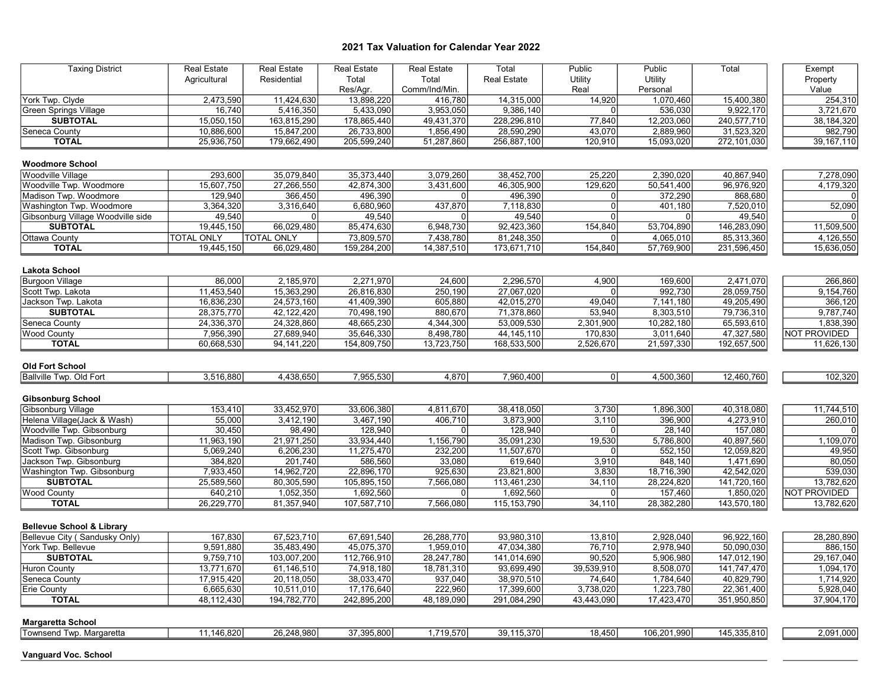| <b>Taxing District</b>               | <b>Real Estate</b> | <b>Real Estate</b> | <b>Real Estate</b> | <b>Real Estate</b> | Total              | Public         | Public      | Total       | Exempt         |
|--------------------------------------|--------------------|--------------------|--------------------|--------------------|--------------------|----------------|-------------|-------------|----------------|
|                                      | Agricultural       | Residential        | Total              | Total              | <b>Real Estate</b> | Utility        | Utility     |             | Property       |
|                                      |                    |                    | Res/Agr.           | Comm/Ind/Min.      |                    | Real           | Personal    |             | Value          |
| York Twp. Clyde                      | 2,473,590          | 11.424.630         | 13,898,220         | 416,780            | 14,315,000         | 14,920         | 1,070,460   | 15,400,380  | 254,310        |
| <b>Green Springs Village</b>         | 16,740             | 5,416,350          | 5,433,090          | 3,953,050          | 9,386,140          | $\Omega$       | 536,030     | 9,922,170   | 3,721,670      |
| <b>SUBTOTAL</b>                      | 15,050,150         | 163,815,290        | 178,865,440        | 49,431,370         | 228,296,810        | 77,840         | 12,203,060  | 240,577,710 | 38,184,320     |
| Seneca County                        | 10,886,600         | 15,847,200         | 26,733,800         | 1,856,490          | 28,590,290         | 43,070         | 2,889,960   | 31,523,320  | 982,790        |
| <b>TOTAL</b>                         | 25,936,750         | 179,662,490        | 205,599,240        | 51,287,860         | 256,887,100        | 120,910        | 15,093,020  | 272,101,030 | 39, 167, 110   |
|                                      |                    |                    |                    |                    |                    |                |             |             |                |
| <b>Woodmore School</b>               |                    |                    |                    |                    |                    |                |             |             |                |
| <b>Woodville Village</b>             |                    |                    |                    |                    |                    |                |             |             |                |
|                                      | 293,600            | 35,079,840         | 35,373,440         | 3,079,260          | 38,452,700         | 25,220         | 2,390,020   | 40,867,940  | 7,278,090      |
| Woodville Twp. Woodmore              | 15.607.750         | 27,266,550         | 42,874,300         | 3.431.600          | 46,305,900         | 129,620        | 50,541,400  | 96,976,920  | 4,179,320      |
| Madison Twp. Woodmore                | 129,940            | 366,450            | 496,390            | $\Omega$           | 496,390            | 0              | 372,290     | 868,680     |                |
| Washington Twp. Woodmore             | 3,364,320          | 3,316,640          | 6,680,960          | 437,870            | 7,118,830          | $\mathbf 0$    | 401,180     | 7,520,010   | 52,090         |
| Gibsonburg Village Woodville side    | 49,540             |                    | 49,540             |                    | 49,540             | $\Omega$       |             | 49,540      |                |
| <b>SUBTOTAL</b>                      | 19,445,150         | 66,029,480         | 85,474,630         | 6,948,730          | 92,423,360         | 154,840        | 53,704,890  | 146,283,090 | 11,509,500     |
| Ottawa County                        | <b>TOTAL ONLY</b>  | <b>TOTAL ONLY</b>  | 73,809,570         | 7,438,780          | 81,248,350         | $\Omega$       | 4,065,010   | 85,313,360  | 4,126,550      |
| <b>TOTAL</b>                         | 19,445,150         | 66,029,480         | 159,284,200        | 14,387,510         | 173,671,710        | 154,840        | 57,769,900  | 231,596,450 | 15,636,050     |
|                                      |                    |                    |                    |                    |                    |                |             |             |                |
| Lakota School                        |                    |                    |                    |                    |                    |                |             |             |                |
| Burgoon Village                      | 86,000             | 2,185,970          | 2,271,970          | 24,600             | 2,296,570          | 4,900          | 169,600     | 2,471,070   | 266,860        |
| Scott Twp. Lakota                    | 11.453.540         | 15,363,290         | 26,816,830         | 250,190            | 27,067,020         | $\Omega$       | 992,730     | 28,059,750  | 9,154,760      |
| Jackson Twp. Lakota                  | 16,836,230         | 24,573,160         | 41,409,390         | 605,880            | 42,015,270         | 49,040         | 7,141,180   | 49,205,490  | 366,120        |
| <b>SUBTOTAL</b>                      | 28,375,770         | 42, 122, 420       | 70,498,190         | 880,670            | 71,378,860         | 53,940         | 8,303,510   | 79,736,310  | 9,787,740      |
| Seneca County                        | 24,336,370         | 24,328,860         | 48,665,230         | 4,344,300          | 53,009,530         | 2,301,900      | 10,282,180  | 65,593,610  | 1,838,390      |
| <b>Wood County</b>                   | 7,956,390          | 27,689,940         | 35,646,330         | 8,498,780          | 44, 145, 110       | 170,830        | 3,011,640   | 47,327,580  | NOT PROVIDED   |
| <b>TOTAL</b>                         | 60,668,530         | 94, 141, 220       | 154,809,750        | 13,723,750         | 168,533,500        | 2,526,670      | 21,597,330  | 192,657,500 | 11,626,130     |
|                                      |                    |                    |                    |                    |                    |                |             |             |                |
| <b>Old Fort School</b>               |                    |                    |                    |                    |                    |                |             |             |                |
| <b>Ballville Twp. Old Fort</b>       | 3,516,880          | 4.438.650          | 7,955,530          | 4,870              | 7.960.400          | $\overline{0}$ | 4,500,360   | 12,460,760  | 102,320        |
|                                      |                    |                    |                    |                    |                    |                |             |             |                |
| <b>Gibsonburg School</b>             |                    |                    |                    |                    |                    |                |             |             |                |
|                                      |                    |                    |                    |                    |                    |                |             |             |                |
| Gibsonburg Village                   | 153,410            | 33,452,970         | 33,606,380         | 4,811,670          | 38,418,050         | 3,730          | 1,896,300   | 40,318,080  | 11,744,510     |
| Helena Village(Jack & Wash)          | 55,000             | 3,412,190          | 3,467,190          | 406,710            | 3,873,900          | 3,110          | 396,900     | 4,273,910   | 260,010        |
| Woodville Twp. Gibsonburg            | 30,450             | 98,490             | 128,940            | <sup>0</sup>       | 128,940            | $\Omega$       | 28,140      | 157,080     | $\overline{0}$ |
| Madison Twp. Gibsonburg              | 11,963,190         | 21,971,250         | 33,934,440         | 1,156,790          | 35,091,230         | 19,530         | 5,786,800   | 40,897,560  | 1,109,070      |
| Scott Twp. Gibsonburg                | 5,069,240          | 6,206,230          | 11,275,470         | 232,200            | 11,507,670         | $\Omega$       | 552,150     | 12,059,820  | 49,950         |
| Jackson Twp. Gibsonburg              | 384,820            | 201,740            | 586,560            | 33,080             | 619,640            | 3,910          | 848,140     | 1,471,690   | 80,050         |
| Washington Twp. Gibsonburg           | 7,933,450          | 14,962,720         | 22,896,170         | 925,630            | 23,821,800         | 3,830          | 18,716,390  | 42,542,020  | 539,030        |
| <b>SUBTOTAL</b>                      | 25,589,560         | 80,305,590         | 105,895,150        | 7,566,080          | 113,461,230        | 34,110         | 28,224,820  | 141,720,160 | 13,782,620     |
| <b>Wood County</b>                   | 640,210            | 1,052,350          | 1,692,560          | $\overline{0}$     | 1,692,560          | $\mathbf 0$    | 157,460     | 1,850,020   | NOT PROVIDED   |
| <b>TOTAL</b>                         | 26,229,770         | 81,357,940         | 107,587,710        | 7,566,080          | 115, 153, 790      | 34,110         | 28,382,280  | 143,570,180 | 13,782,620     |
|                                      |                    |                    |                    |                    |                    |                |             |             |                |
| <b>Bellevue School &amp; Library</b> |                    |                    |                    |                    |                    |                |             |             |                |
| Bellevue City (Sandusky Only)        | 167,830            | 67,523,710         | 67,691,540         | 26,288,770         | 93,980,310         | 13,810         | 2,928,040   | 96,922,160  | 28,280,890     |
| York Twp. Bellevue                   | 9,591,880          | 35,483,490         | 45,075,370         | 1,959,010          | 47,034,380         | 76,710         | 2,978,940   | 50,090,030  | 886,150        |
| <b>SUBTOTAL</b>                      | 9,759,710          | 103,007,200        | 112,766,910        | 28,247,780         | 141,014,690        | 90,520         | 5,906,980   | 147,012,190 | 29,167,040     |
| <b>Huron County</b>                  | 13,771,670         | 61,146,510         | 74,918,180         | 18,781,310         | 93,699,490         | 39,539,910     | 8,508,070   | 141,747,470 | 1,094,170      |
| Seneca County                        | 17,915,420         | 20,118,050         | 38,033,470         | 937,040            | 38,970,510         | 74,640         | 1,784,640   | 40,829,790  | 1,714,920      |
| Erie County                          | 6,665,630          | 10,511,010         | 17,176,640         | 222,960            | 17,399,600         | 3,738,020      | 1,223,780   | 22,361,400  | 5,928,040      |
| <b>TOTAL</b>                         | 48,112,430         | 194,782,770        | 242,895,200        | 48,189,090         | 291,084,290        | 43,443,090     | 17,423,470  | 351,950,850 | 37,904,170     |
|                                      |                    |                    |                    |                    |                    |                |             |             |                |
| <b>Margaretta School</b>             |                    |                    |                    |                    |                    |                |             |             |                |
| Townsend Twp. Margaretta             | 11,146,820         | 26,248,980         | 37,395,800         | 1,719,570          | 39,115,370         | 18,450         | 106,201,990 | 145,335,810 | 2,091,000      |
|                                      |                    |                    |                    |                    |                    |                |             |             |                |
| <b>Vanguard Voc. School</b>          |                    |                    |                    |                    |                    |                |             |             |                |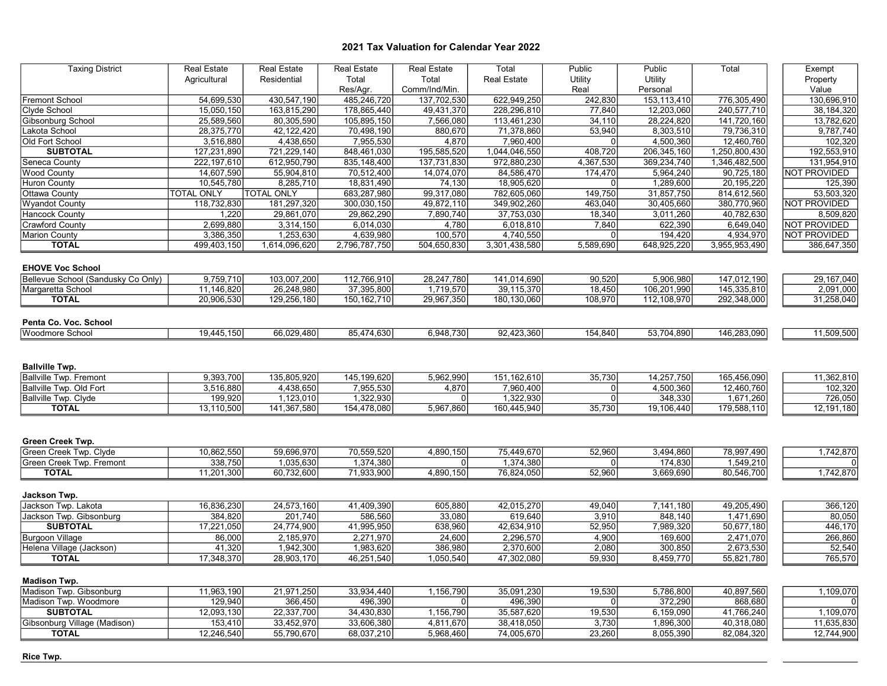| <b>Taxing District</b>             | <b>Real Estate</b> | <b>Real Estate</b> | <b>Real Estate</b> | <b>Real Estate</b> | Total                 | Public         | Public      | Total         | Exempt       |
|------------------------------------|--------------------|--------------------|--------------------|--------------------|-----------------------|----------------|-------------|---------------|--------------|
|                                    | Agricultural       | Residential        | Total              | Total              | <b>Real Estate</b>    | Utility        | Utility     |               | Property     |
|                                    |                    |                    | Res/Agr.           | Comm/Ind/Min.      |                       | Real           | Personal    |               | Value        |
| <b>Fremont School</b>              | 54,699,530         | 430,547,190        | 485,246,720        | 137,702,530        | 622,949,250           | 242,830        | 153,113,410 | 776,305,490   | 130,696,910  |
| Clyde School                       | 15,050,150         | 163,815,290        | 178,865,440        | 49,431,370         | 228,296,810           | 77,840         | 12,203,060  | 240,577,710   | 38, 184, 320 |
| Gibsonburg School                  | 25,589,560         | 80,305,590         | 105,895,150        | 7,566,080          | 113,461,230           | 34,110         | 28,224,820  | 141,720,160   | 13,782,620   |
| Lakota School                      | 28,375,770         | 42,122,420         | 70,498,190         | 880,670            | 71,378,860            | 53,940         | 8,303,510   | 79,736,310    | 9,787,740    |
| Old Fort School                    | 3,516,880          | 4,438,650          | 7,955,530          | 4,870              | 7,960,400             | $\Omega$       | 4,500,360   | 12,460,760    | 102,320      |
| <b>SUBTOTAL</b>                    | 127,231,890        | 721,229,140        | 848,461,030        | 195,585,520        | 1,044,046,550         | 408,720        | 206,345,160 | 1,250,800,430 | 192,553,910  |
| Seneca County                      | 222,197,610        | 612,950,790        | 835, 148, 400      | 137,731,830        | 972,880,230           | 4,367,530      | 369,234,740 | 1,346,482,500 | 131,954,910  |
| <b>Wood County</b>                 | 14,607,590         | 55,904,810         | 70,512,400         | 14,074,070         | 84,586,470            | 174,470        | 5,964,240   | 90,725,180    | NOT PROVIDED |
| <b>Huron County</b>                | 10.545.780         | 8.285.710          | 18,831,490         | 74,130             | 18,905,620            | $\Omega$       | 1,289,600   | 20,195,220    | 125,390      |
| <b>Ottawa County</b>               | <b>TOTAL ONLY</b>  | <b>TOTAL ONLY</b>  | 683,287,980        | 99,317,080         | 782,605,060           | 149,750        | 31,857,750  | 814,612,560   | 53,503,320   |
| <b>Wyandot County</b>              | 118,732,830        | 181,297,320        | 300,030,150        | 49,872,110         | 349,902,260           | 463,040        | 30,405,660  | 380,770,960   | NOT PROVIDED |
| <b>Hancock County</b>              | 1,220              | 29,861,070         | 29,862,290         | 7,890,740          | 37,753,030            | 18,340         | 3,011,260   | 40,782,630    | 8,509,820    |
| <b>Crawford County</b>             | 2,699,880          | 3,314,150          | 6,014,030          | 4,780              | 6,018,810             | 7,840          | 622,390     | 6,649,040     | NOT PROVIDED |
| <b>Marion County</b>               | 3,386,350          | 1,253,630          | 4,639,980          | 100,570            | 4,740,550             | $\mathbf 0$    | 194,420     | 4,934,970     | NOT PROVIDED |
| <b>TOTAL</b>                       | 499,403,150        | 1,614,096,620      | 2,796,787,750      | 504,650,830        | 3,301,438,580         | 5,589,690      | 648,925,220 | 3,955,953,490 | 386,647,350  |
|                                    |                    |                    |                    |                    |                       |                |             |               |              |
| <b>EHOVE Voc School</b>            |                    |                    |                    |                    |                       |                |             |               |              |
| Bellevue School (Sandusky Co Only) | 9,759,710          | 103,007,200        | 112,766,910        | 28,247,780         | 141,014,690           | 90,520         | 5,906,980   | 147,012,190   | 29, 167, 040 |
| Margaretta School                  | 11,146,820         | 26,248,980         | 37,395,800         | 1,719,570          | 39,115,370            | 18,450         | 106,201,990 | 145,335,810   | 2,091,000    |
| <b>TOTAL</b>                       | 20,906,530         | 129,256,180        | 150, 162, 710      | 29,967,350         | 180,130,060           | 108,970        | 112,108,970 | 292,348,000   | 31,258,040   |
|                                    |                    |                    |                    |                    |                       |                |             |               |              |
| Penta Co. Voc. School              |                    |                    |                    |                    |                       |                |             |               |              |
|                                    |                    |                    |                    |                    |                       |                |             |               |              |
| <b>Woodmore School</b>             | 19,445,150         | 66,029,480         | 85,474,630         | 6,948,730          | 92,423,360            | 154,840        | 53,704,890  | 146,283,090   | 11,509,500   |
|                                    |                    |                    |                    |                    |                       |                |             |               |              |
|                                    |                    |                    |                    |                    |                       |                |             |               |              |
| <b>Ballville Twp.</b>              |                    |                    |                    |                    |                       |                |             |               |              |
| <b>Ballville Twp. Fremont</b>      | 9,393,700          | 135,805,920        | 145,199,620        | 5,962,990          | 151,162,610           | 35,730         | 14,257,750  | 165,456,090   | 11,362,810   |
| Ballville Twp. Old Fort            | 3,516,880          | 4,438,650          | 7,955,530          | 4,870              | 7,960,400             | $\overline{0}$ | 4,500,360   | 12,460,760    | 102,320      |
| Ballville Twp. Clyde               | 199,920            | 1,123,010          | 1,322,930          | $\overline{0}$     | 1,322,930             | $\mathbf 0$    | 348,330     | 1,671,260     | 726,050      |
| <b>TOTAL</b>                       | 13,110,500         | 141,367,580        | 154,478,080        | 5,967,860          | 160,445,940           | 35,730         | 19,106,440  | 179,588,110   | 12,191,180   |
|                                    |                    |                    |                    |                    |                       |                |             |               |              |
|                                    |                    |                    |                    |                    |                       |                |             |               |              |
| <b>Green Creek Twp.</b>            |                    |                    |                    |                    |                       |                |             |               |              |
| Green Creek Twp. Clyde             | 10,862,550         | 59,696,970         | 70,559,520         | 4,890,150          | 75,449,670            | 52,960         | 3,494,860   | 78,997,490    | 1,742,870    |
| Green Creek Twp. Fremont           | 338,750            | 1,035,630          | 1,374,380          | 0l                 | 1,374,380             | $\mathbf{0}$   | 174,830     | 1,549,210     |              |
| <b>TOTAL</b>                       | 11,201,300         | 60,732,600         | 71,933,900         | 4,890,150          | 76,824,050            | 52.960         | 3,669,690   | 80,546,700    | 1,742,870    |
|                                    |                    |                    |                    |                    |                       |                |             |               |              |
| Jackson Twp.                       |                    |                    |                    |                    |                       |                |             |               |              |
| Jackson Twp. Lakota                | 16,836,230         | 24,573,160         | 41,409,390         | 605,880            | 42,015,270            | 49,040         | 7,141,180   | 49,205,490    | 366, 120     |
| Jackson Twp. Gibsonburg            | 384,820            | 201,740            | 586,560            | 33,080             | 619,640               | 3,910          | 848,140     | 1,471,690     | 80,050       |
| <b>SUBTOTAL</b>                    | 17,221,050         | 24,774,900         | 41,995,950         | 638,960            | 42,634,910            | 52,950         | 7,989,320   | 50,677,180    | 446,170      |
| <b>Burgoon Village</b>             | 86,000             | 2,185,970          | 2,271,970          | 24,600             | 2,296,570             | 4,900          | 169,600     | 2,471,070     | 266,860      |
| Helena Village (Jackson)           | 41,320             | 1,942,300          | 1,983,620          | 386,980            | 2,370,600             | 2,080          | 300,850     | 2,673,530     | 52,540       |
| <b>TOTAL</b>                       | 17,348,370         | 28,903,170         | 46,251,540         | 1,050,540          | 47,302,080            | 59,930         | 8,459,770   | 55,821,780    | 765,570      |
|                                    |                    |                    |                    |                    |                       |                |             |               |              |
|                                    |                    |                    |                    |                    |                       |                |             |               |              |
| <b>Madison Twp.</b>                |                    |                    |                    |                    |                       |                |             |               |              |
| Madison Twp. Gibsonburg            | 11,963,190         | 21,971,250         | 33,934,440         | 1,156,790          | 35,091,230<br>496,390 | 19,530         | 5,786,800   | 40,897,560    | 1,109,070    |
| Madison Twp. Woodmore              | 129,940            | 366,450            | 496,390            | $\overline{0}$     |                       | 0              | 372,290     | 868,680       | 0            |
| <b>SUBTOTAL</b>                    | 12,093,130         | 22,337,700         | 34,430,830         | 1,156,790          | 35,587,620            | 19,530         | 6,159,090   | 41,766,240    | 1,109,070    |
| Gibsonburg Village (Madison)       | 153,410            | 33,452,970         | 33,606,380         | 4,811,670          | 38,418,050            | 3,730          | 1,896,300   | 40,318,080    | 11,635,830   |
| <b>TOTAL</b>                       | 12,246,540         | 55,790,670         | 68,037,210         | 5,968,460          | 74,005,670            | 23,260         | 8,055,390   | 82,084,320    | 12,744,900   |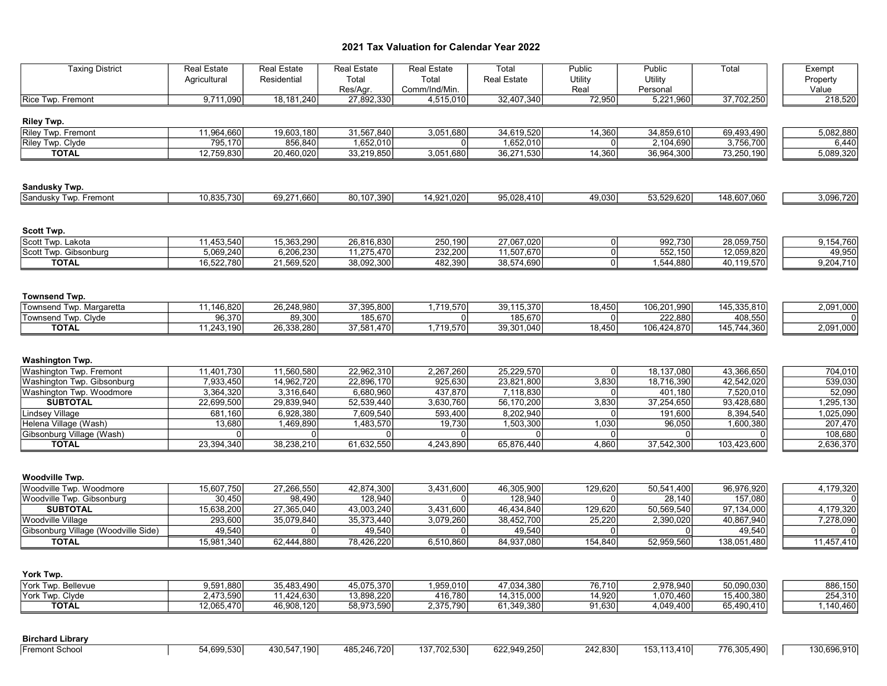| <b>Taxing District</b>                     | <b>Real Estate</b> | <b>Real Estate</b> | Real Estate       | <b>Real Estate</b>     | Total              | Public          | Public              | Total       | Exempt            |
|--------------------------------------------|--------------------|--------------------|-------------------|------------------------|--------------------|-----------------|---------------------|-------------|-------------------|
|                                            | Agricultural       | Residential        | Total<br>Res/Agr. | Total<br>Comm/Ind/Min. | <b>Real Estate</b> | Utility<br>Real | Utility<br>Personal |             | Property<br>Value |
| Rice Twp. Fremont                          | 9,711,090          | 18, 181, 240       | 27,892,330        | 4,515,010              | 32,407,340         | 72,950          | 5,221,960           | 37,702,250  | 218,520           |
| <b>Riley Twp.</b>                          |                    |                    |                   |                        |                    |                 |                     |             |                   |
| Riley Twp. Fremont                         | 11,964,660         | 19,603,180         | 31,567,840        | 3,051,680              | 34,619,520         | 14,360          | 34,859,610          | 69,493,490  | 5,082,880         |
| Riley Twp. Clyde                           | 795,170            | 856,840            | 1,652,010         | 0l                     | 1,652,010          | $\mathbf 0$     | 2,104,690           | 3,756,700   | 6,440             |
| <b>TOTAL</b>                               | 12,759,830         | 20,460,020         | 33,219,850        | 3,051,680              | 36,271,530         | 14,360          | 36,964,300          | 73,250,190  | 5,089,320         |
| Sandusky Twp.                              |                    |                    |                   |                        |                    |                 |                     |             |                   |
| Sandusky Twp. Fremont                      | 10,835,730         | 69,271,660         | 80,107,390        | 14,921,020             | 95,028,410         | 49,030          | 53,529,620          | 148,607,060 | 3,096,720         |
| Scott Twp.                                 |                    |                    |                   |                        |                    |                 |                     |             |                   |
| Scott Twp. Lakota                          | 11,453,540         | 15,363,290         | 26,816,830        | 250,190                | 27,067,020         | 0               | 992,730             | 28,059,750  | 9,154,760         |
| Scott Twp. Gibsonburg                      | 5,069,240          | 6,206,230          | 11,275,470        | 232,200                | 11,507,670         | 0               | 552,150             | 12,059,820  | 49,950            |
| <b>TOTAL</b>                               | 16,522,780         | 21,569,520         | 38,092,300        | 482,390                | 38,574,690         | $\overline{0}$  | 1,544,880           | 40,119,570  | 9,204,710         |
| <b>Townsend Twp.</b>                       |                    |                    |                   |                        |                    |                 |                     |             |                   |
| Townsend Twp. Margaretta                   | 11,146,820         | 26,248,980         | 37,395,800        | 1,719,570              | 39,115,370         | 18,450          | 106,201,990         | 145,335,810 | 2,091,000         |
| Townsend Twp. Clyde                        | 96,370             | 89,300             | 185,670           | 0l                     | 185,670            | $\overline{0}$  | 222,880             | 408,550     |                   |
| <b>TOTAL</b>                               | 11,243,190         | 26,338,280         | 37,581,470        | 1,719,570              | 39,301,040         | 18,450          | 106,424,870         | 145,744,360 | 2,091,000         |
| Washington Twp.<br>Washington Twp. Fremont | 11,401,730         | 11,560,580         | 22,962,310        | 2,267,260              | 25,229,570         | 0               | 18,137,080          | 43,366,650  | 704,010           |
| Washington Twp. Gibsonburg                 | 7,933,450          | 14,962,720         | 22,896,170        | 925,630                | 23,821,800         | 3,830           | 18,716,390          | 42,542,020  | 539,030           |
| Washington Twp. Woodmore                   | 3,364,320          | 3,316,640          | 6,680,960         | 437,870                | 7,118,830          | $\overline{0}$  | 401,180             | 7,520,010   | 52,090            |
| <b>SUBTOTAL</b>                            | 22,699,500         | 29,839,940         | 52,539,440        | 3,630,760              | 56,170,200         | 3,830           | 37,254,650          | 93,428,680  | 1,295,130         |
| <b>Lindsey Village</b>                     | 681,160            | 6,928,380          | 7,609,540         | 593,400                | 8,202,940          | $\overline{0}$  | 191,600             | 8,394,540   | 1,025,090         |
| Helena Village (Wash)                      | 13,680             | 1,469,890          | 1,483,570         | 19,730                 | 1,503,300          | 1,030           | 96,050              | 1,600,380   | 207,470           |
| Gibsonburg Village (Wash)                  | $\Omega$           | 0                  | 0                 | 01                     | $\overline{0}$     | 0               | $\Omega$            | 01          | 108,680           |
| <b>TOTAL</b>                               | 23,394,340         | 38,238,210         | 61,632,550        | 4,243,890              | 65,876,440         | 4,860           | 37,542,300          | 103,423,600 | 2,636,370         |
| Woodville Twp.                             |                    |                    |                   |                        |                    |                 |                     |             |                   |
| Woodville Twp. Woodmore                    | 15,607,750         | 27,266,550         | 42,874,300        | 3,431,600              | 46,305,900         | 129,620         | 50,541,400          | 96,976,920  | 4,179,320         |
| Woodville Twp. Gibsonburg                  | 30,450             | 98,490             | 128,940           | 0l                     | 128,940            | $\overline{0}$  | 28,140              | 157,080     |                   |
| <b>SUBTOTAL</b>                            | 15,638,200         | 27,365,040         | 43,003,240        | 3,431,600              | 46,434,840         | 129,620         | 50,569,540          | 97,134,000  | 4,179,320         |
| Woodville Village                          | 293,600            | 35,079,840         | 35,373,440        | 3,079,260              | 38,452,700         | 25,220          | 2,390,020           | 40,867,940  | 7,278,090         |
| Gibsonburg Village (Woodville Side)        | 49,540             | 0                  | 49,540            | $\overline{0}$         | 49,540             | $\overline{0}$  | 0                   | 49,540      |                   |
| <b>TOTAL</b>                               | 15,981,340         | 62,444,880         | 78,426,220        | 6,510,860              | 84,937,080         | 154,840         | 52,959,560          | 138,051,480 | 11,457,410        |
| York Twp.                                  |                    |                    |                   |                        |                    |                 |                     |             |                   |
| York Twp. Bellevue                         | 9,591,880          | 35,483,490         | 45,075,370        | 1,959,010              | 47,034,380         | 76,710          | 2,978,940           | 50,090,030  | 886,150           |
| York Twp. Clyde                            | 2,473,590          | 11,424,630         | 13,898,220        | 416,780                | 14,315,000         | 14,920          | 1,070,460           | 15,400,380  | 254,310           |
| <b>TOTAL</b>                               | 12,065,470         | 46,908,120         | 58,973,590        | 2,375,790              | 61,349,380         | 91,630          | 4,049,400           | 65,490,410  | 1,140,460         |
| <b>Birchard Library</b>                    |                    |                    |                   |                        |                    |                 |                     |             |                   |
| <b>Fremont School</b>                      | 54,699,530         | 430,547,190        | 485,246,720       | 137,702,530            | 622,949,250        | 242,830         | 153,113,410         | 776,305,490 | 130,696,910       |